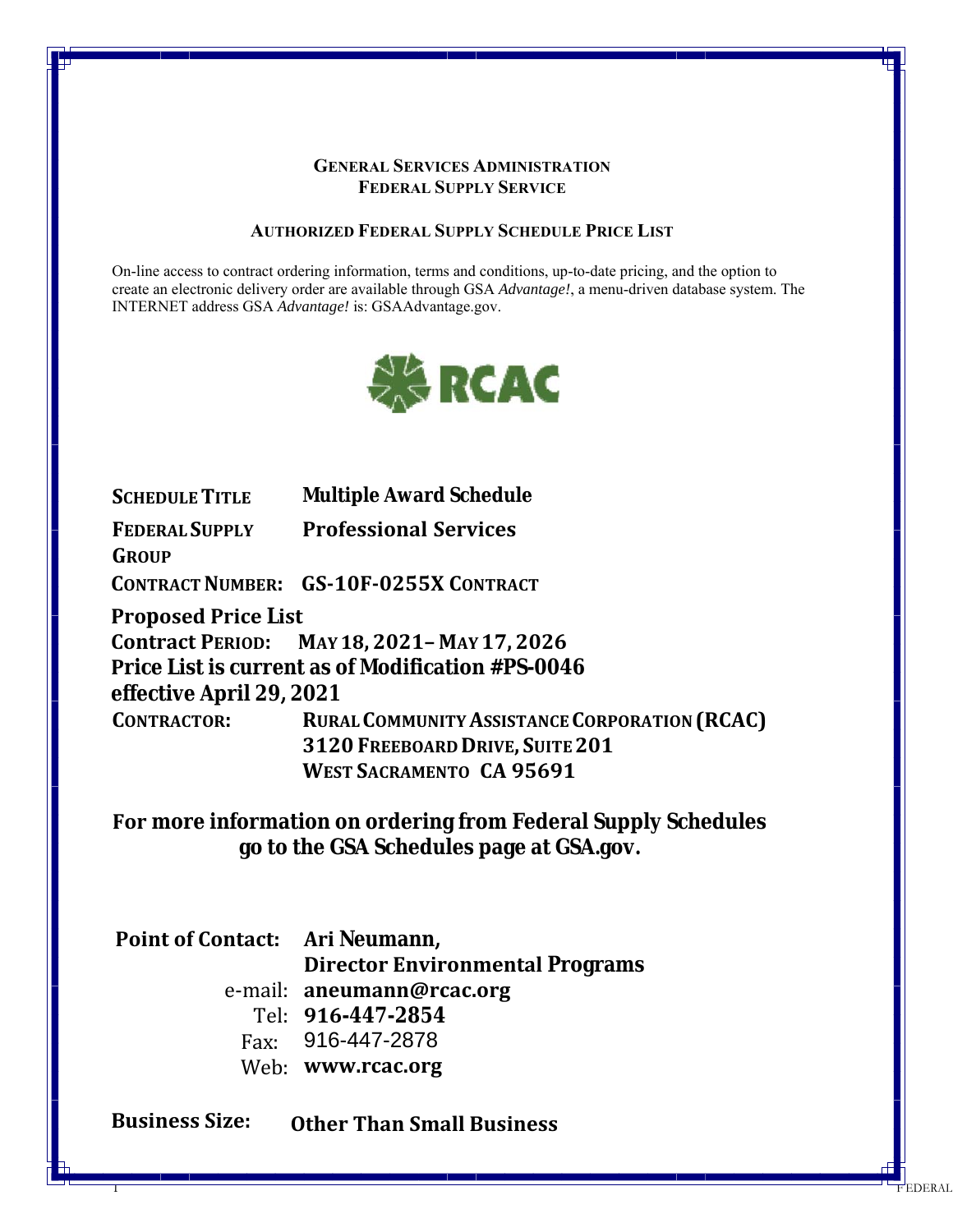#### **GENERAL SERVICES ADMINISTRATION FEDERAL SUPPLY SERVICE**

### **AUTHORIZED FEDERAL SUPPLY SCHEDULE PRICE LIST**

On-line access to contract ordering information, terms and conditions, up-to-date pricing, and the option to create an electronic delivery order are available through GSA *Advantage!*, a menu-driven database system. The INTERNET address GSA *Advantage!* is: GSAAdvantage.gov.



**SCHEDULETITLE Multiple Award Schedule FEDERAL SUPPLY GROUP Professional Services CONTRACTNUMBER: GS‐10F‐0255X CONTRACT Proposed Price List Contract PERIOD: MAY 18, 2021– MAY 17, 2026 Price List is current as of Modification #PS-0046 effective April 29, 2021 CONTRACTOR: RURALCOMMUNITYASSISTANCE CORPORATION(RCAC)**

**3120 FREEBOARD DRIVE, SUITE201 WEST SACRAMENTO CA 95691**

 $\frac{1}{1}$ 

EDERAL

**For more information on ordering from Federal Supply Schedules go to the GSA Schedules page at GSA.gov.**

**Point of Contact: Ari Neumann,**  e‐mail: **aneumann@rcac.org** Tel: **916-447-2854** Fax: 916-447-2878 **Director Environmental Programs**

Web: **www.rcac.org**

**Business Size: Other Than Small Business**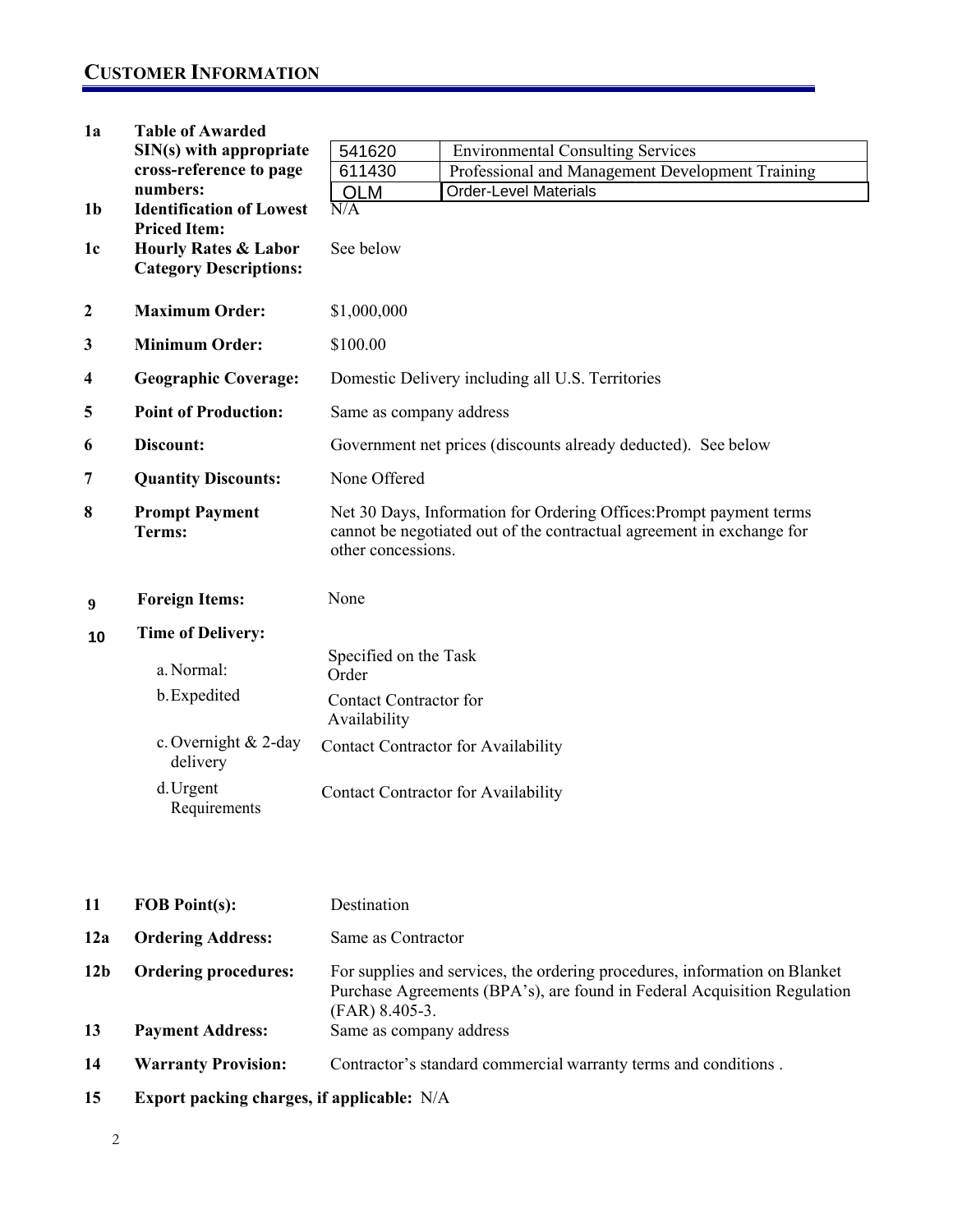### **CUSTOMER INFORMATION**

| 1a               | <b>Table of Awarded</b>          |                                                                                                                                                                    |                                                  |  |  |  |
|------------------|----------------------------------|--------------------------------------------------------------------------------------------------------------------------------------------------------------------|--------------------------------------------------|--|--|--|
|                  | $SIN(s)$ with appropriate        | 541620                                                                                                                                                             | <b>Environmental Consulting Services</b>         |  |  |  |
|                  | cross-reference to page          | 611430                                                                                                                                                             | Professional and Management Development Training |  |  |  |
|                  | numbers:                         | <b>OLM</b>                                                                                                                                                         | <b>Order-Level Materials</b>                     |  |  |  |
| 1 <sub>b</sub>   | <b>Identification of Lowest</b>  | N/A                                                                                                                                                                |                                                  |  |  |  |
|                  | <b>Priced Item:</b>              |                                                                                                                                                                    |                                                  |  |  |  |
| 1 <sub>c</sub>   | <b>Hourly Rates &amp; Labor</b>  | See below                                                                                                                                                          |                                                  |  |  |  |
|                  | <b>Category Descriptions:</b>    |                                                                                                                                                                    |                                                  |  |  |  |
| $\boldsymbol{2}$ | <b>Maximum Order:</b>            | \$1,000,000                                                                                                                                                        |                                                  |  |  |  |
| 3                | <b>Minimum Order:</b>            | \$100.00                                                                                                                                                           |                                                  |  |  |  |
| 4                | <b>Geographic Coverage:</b>      | Domestic Delivery including all U.S. Territories                                                                                                                   |                                                  |  |  |  |
| 5                | <b>Point of Production:</b>      | Same as company address                                                                                                                                            |                                                  |  |  |  |
| 6                | Discount:                        | Government net prices (discounts already deducted). See below                                                                                                      |                                                  |  |  |  |
| 7                | <b>Quantity Discounts:</b>       | None Offered                                                                                                                                                       |                                                  |  |  |  |
| 8                | <b>Prompt Payment</b><br>Terms:  | Net 30 Days, Information for Ordering Offices: Prompt payment terms<br>cannot be negotiated out of the contractual agreement in exchange for<br>other concessions. |                                                  |  |  |  |
| 9                | <b>Foreign Items:</b>            | None                                                                                                                                                               |                                                  |  |  |  |
| 10               | <b>Time of Delivery:</b>         |                                                                                                                                                                    |                                                  |  |  |  |
|                  | a. Normal:                       | Specified on the Task                                                                                                                                              |                                                  |  |  |  |
|                  |                                  | Order<br><b>Contact Contractor for</b><br>Availability                                                                                                             |                                                  |  |  |  |
|                  | b. Expedited                     |                                                                                                                                                                    |                                                  |  |  |  |
|                  | c. Overnight & 2-day<br>delivery |                                                                                                                                                                    | <b>Contact Contractor for Availability</b>       |  |  |  |
|                  | d. Urgent<br>Requirements        | Contact Contractor for Availability                                                                                                                                |                                                  |  |  |  |
|                  |                                  |                                                                                                                                                                    |                                                  |  |  |  |

÷

| 11              | <b>FOB Point(s):</b>                              | Destination                                                                                                                                                                |  |  |  |
|-----------------|---------------------------------------------------|----------------------------------------------------------------------------------------------------------------------------------------------------------------------------|--|--|--|
| 12a             | <b>Ordering Address:</b>                          | Same as Contractor                                                                                                                                                         |  |  |  |
| 12 <sub>b</sub> | <b>Ordering procedures:</b>                       | For supplies and services, the ordering procedures, information on Blanket<br>Purchase Agreements (BPA's), are found in Federal Acquisition Regulation<br>$(FAR)$ 8.405-3. |  |  |  |
| 13              | <b>Payment Address:</b>                           | Same as company address                                                                                                                                                    |  |  |  |
| 14              | <b>Warranty Provision:</b>                        | Contractor's standard commercial warranty terms and conditions.                                                                                                            |  |  |  |
| 15              | <b>Export packing charges, if applicable:</b> N/A |                                                                                                                                                                            |  |  |  |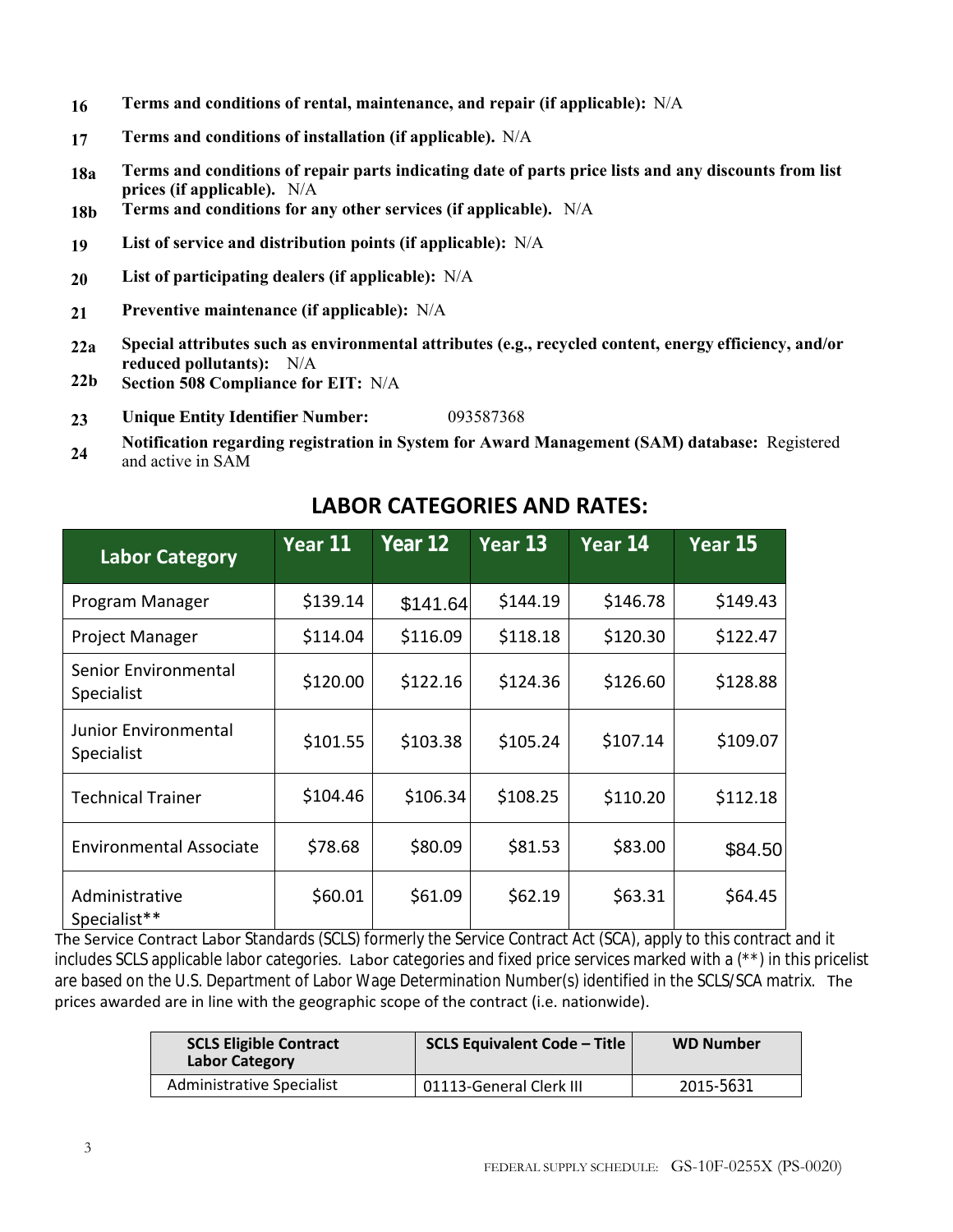- **16 Terms and conditions of rental, maintenance, and repair (if applicable):** N/A
- **17 Terms and conditions of installation (if applicable).** N/A
- **18a Terms and conditions of repair parts indicating date of parts price lists and any discounts from list prices (if applicable).** N/A
- **18b Terms and conditions for any other services (if applicable).** N/A
- **19 List of service and distribution points (if applicable):** N/A
- **20 List of participating dealers (if applicable):** N/A
- **21 Preventive maintenance (if applicable):** N/A
- **22a Special attributes such as environmental attributes (e.g., recycled content, energy efficiency, and/or reduced pollutants):** N/A
- **22b Section 508 Compliance for EIT:** N/A
- **23 Unique Entity Identifier Number:** 093587368
- **24 Notification regarding registration in System for Award Management (SAM) database:** Registered and active in SAM

| <b>Labor Category</b>              | Year 11  | Year 12  | Year 13  | Year 14  | Year $15$ |
|------------------------------------|----------|----------|----------|----------|-----------|
| Program Manager                    | \$139.14 | \$141.64 | \$144.19 | \$146.78 | \$149.43  |
| Project Manager                    | \$114.04 | \$116.09 | \$118.18 | \$120.30 | \$122.47  |
| Senior Environmental<br>Specialist | \$120.00 | \$122.16 | \$124.36 | \$126.60 | \$128.88  |
| Junior Environmental<br>Specialist | \$101.55 | \$103.38 | \$105.24 | \$107.14 | \$109.07  |
| <b>Technical Trainer</b>           | \$104.46 | \$106.34 | \$108.25 | \$110.20 | \$112.18  |
| <b>Environmental Associate</b>     | \$78.68  | \$80.09  | \$81.53  | \$83.00  | \$84.50   |
| Administrative<br>Specialist**     | \$60.01  | \$61.09  | \$62.19  | \$63.31  | \$64.45   |

## **LABOR CATEGORIES AND RATES:**

The Service Contract Labor Standards (SCLS) formerly the Service Contract Act (SCA), apply to this contract and it includes SCLS applicable labor categories. Labor categories and fixed price services marked with a (\*\*) in this pricelist are based on the U.S. Department of Labor Wage Determination Number(s) identified in the SCLS/SCA matrix. The prices awarded are in line with the geographic scope of the contract (i.e. nationwide).

| <b>SCLS Eligible Contract</b><br><b>Labor Category</b> | <b>SCLS Equivalent Code - Title</b> | <b>WD Number</b> |  |
|--------------------------------------------------------|-------------------------------------|------------------|--|
| Administrative Specialist                              | 01113-General Clerk III             | 2015-5631        |  |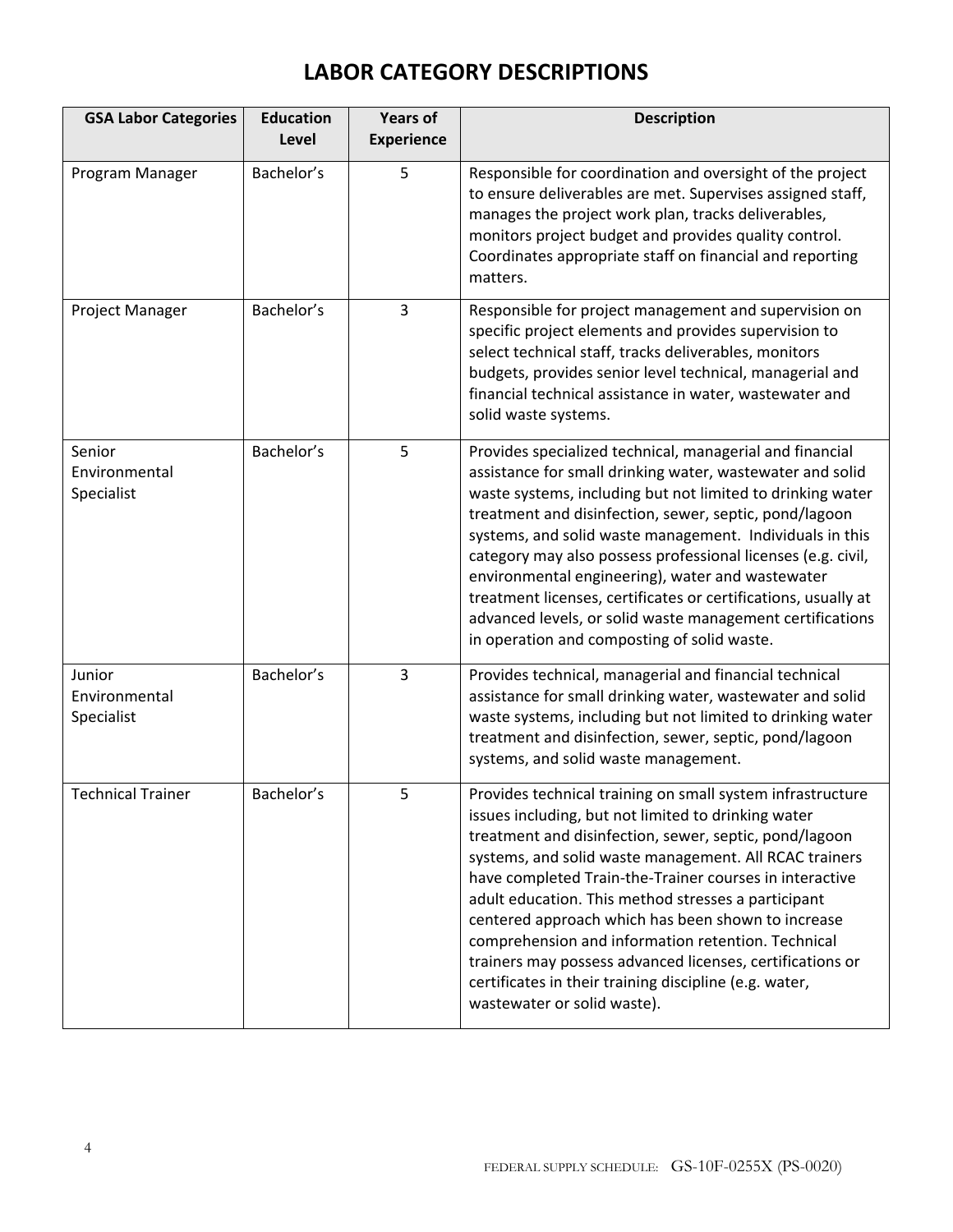# **LABOR CATEGORY DESCRIPTIONS**

| <b>GSA Labor Categories</b>           | <b>Education</b><br>Level | <b>Years of</b><br><b>Experience</b> | <b>Description</b>                                                                                                                                                                                                                                                                                                                                                                                                                                                                                                                                                                                                        |
|---------------------------------------|---------------------------|--------------------------------------|---------------------------------------------------------------------------------------------------------------------------------------------------------------------------------------------------------------------------------------------------------------------------------------------------------------------------------------------------------------------------------------------------------------------------------------------------------------------------------------------------------------------------------------------------------------------------------------------------------------------------|
| Program Manager                       | Bachelor's                | 5                                    | Responsible for coordination and oversight of the project<br>to ensure deliverables are met. Supervises assigned staff,<br>manages the project work plan, tracks deliverables,<br>monitors project budget and provides quality control.<br>Coordinates appropriate staff on financial and reporting<br>matters.                                                                                                                                                                                                                                                                                                           |
| Project Manager                       | Bachelor's                | $\overline{3}$                       | Responsible for project management and supervision on<br>specific project elements and provides supervision to<br>select technical staff, tracks deliverables, monitors<br>budgets, provides senior level technical, managerial and<br>financial technical assistance in water, wastewater and<br>solid waste systems.                                                                                                                                                                                                                                                                                                    |
| Senior<br>Environmental<br>Specialist | Bachelor's                | 5                                    | Provides specialized technical, managerial and financial<br>assistance for small drinking water, wastewater and solid<br>waste systems, including but not limited to drinking water<br>treatment and disinfection, sewer, septic, pond/lagoon<br>systems, and solid waste management. Individuals in this<br>category may also possess professional licenses (e.g. civil,<br>environmental engineering), water and wastewater<br>treatment licenses, certificates or certifications, usually at<br>advanced levels, or solid waste management certifications<br>in operation and composting of solid waste.               |
| Junior<br>Environmental<br>Specialist | Bachelor's                | 3                                    | Provides technical, managerial and financial technical<br>assistance for small drinking water, wastewater and solid<br>waste systems, including but not limited to drinking water<br>treatment and disinfection, sewer, septic, pond/lagoon<br>systems, and solid waste management.                                                                                                                                                                                                                                                                                                                                       |
| <b>Technical Trainer</b>              | Bachelor's                | 5                                    | Provides technical training on small system infrastructure<br>issues including, but not limited to drinking water<br>treatment and disinfection, sewer, septic, pond/lagoon<br>systems, and solid waste management. All RCAC trainers<br>have completed Train-the-Trainer courses in interactive<br>adult education. This method stresses a participant<br>centered approach which has been shown to increase<br>comprehension and information retention. Technical<br>trainers may possess advanced licenses, certifications or<br>certificates in their training discipline (e.g. water,<br>wastewater or solid waste). |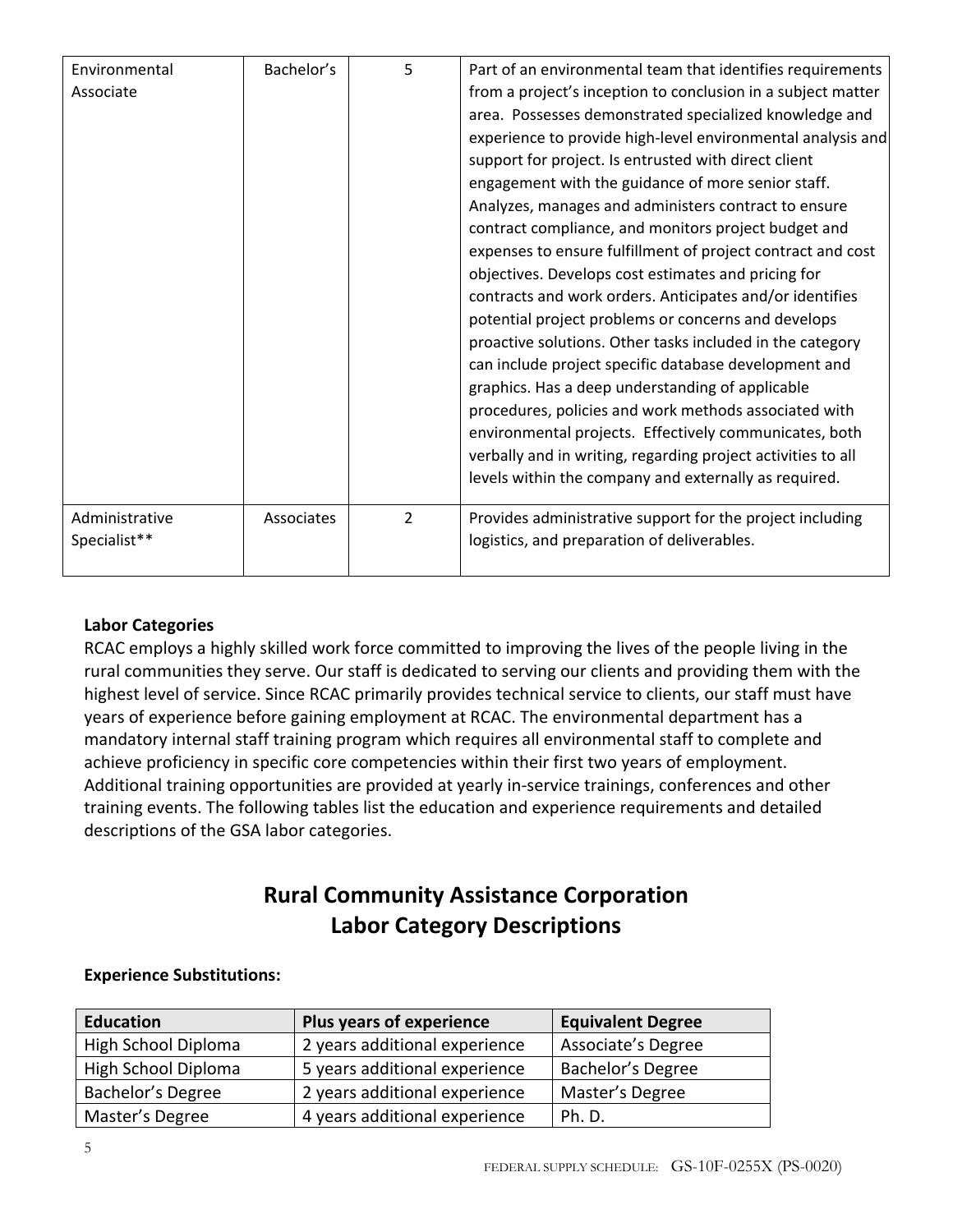| Environmental  | Bachelor's | 5              | Part of an environmental team that identifies requirements   |
|----------------|------------|----------------|--------------------------------------------------------------|
| Associate      |            |                | from a project's inception to conclusion in a subject matter |
|                |            |                | area. Possesses demonstrated specialized knowledge and       |
|                |            |                | experience to provide high-level environmental analysis and  |
|                |            |                | support for project. Is entrusted with direct client         |
|                |            |                | engagement with the guidance of more senior staff.           |
|                |            |                | Analyzes, manages and administers contract to ensure         |
|                |            |                | contract compliance, and monitors project budget and         |
|                |            |                | expenses to ensure fulfillment of project contract and cost  |
|                |            |                | objectives. Develops cost estimates and pricing for          |
|                |            |                | contracts and work orders. Anticipates and/or identifies     |
|                |            |                | potential project problems or concerns and develops          |
|                |            |                | proactive solutions. Other tasks included in the category    |
|                |            |                | can include project specific database development and        |
|                |            |                | graphics. Has a deep understanding of applicable             |
|                |            |                | procedures, policies and work methods associated with        |
|                |            |                | environmental projects. Effectively communicates, both       |
|                |            |                | verbally and in writing, regarding project activities to all |
|                |            |                | levels within the company and externally as required.        |
| Administrative | Associates | $\overline{2}$ | Provides administrative support for the project including    |
| Specialist**   |            |                | logistics, and preparation of deliverables.                  |
|                |            |                |                                                              |

### **Labor Categories**

RCAC employs a highly skilled work force committed to improving the lives of the people living in the rural communities they serve. Our staff is dedicated to serving our clients and providing them with the highest level of service. Since RCAC primarily provides technical service to clients, our staff must have years of experience before gaining employment at RCAC. The environmental department has a mandatory internal staff training program which requires all environmental staff to complete and achieve proficiency in specific core competencies within their first two years of employment. Additional training opportunities are provided at yearly in‐service trainings, conferences and other training events. The following tables list the education and experience requirements and detailed descriptions of the GSA labor categories.

## **Rural Community Assistance Corporation Labor Category Descriptions**

### **Experience Substitutions:**

| <b>Education</b>    | Plus years of experience      | <b>Equivalent Degree</b>  |  |
|---------------------|-------------------------------|---------------------------|--|
| High School Diploma | 2 years additional experience | <b>Associate's Degree</b> |  |
| High School Diploma | 5 years additional experience | Bachelor's Degree         |  |
| Bachelor's Degree   | 2 years additional experience | Master's Degree           |  |
| Master's Degree     | 4 years additional experience | <b>Ph. D.</b>             |  |